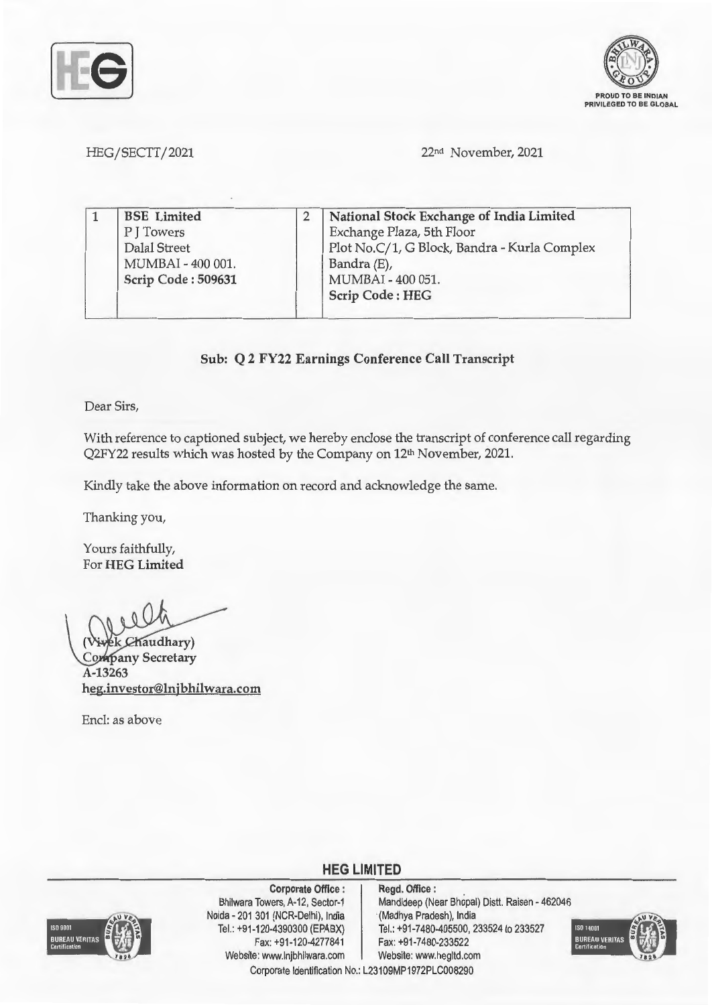



HEG/SECTT/2021

22nd November, 2021

|  | <b>BSE</b> Limited | National Stock Exchange of India Limited     |
|--|--------------------|----------------------------------------------|
|  | P J Towers         | Exchange Plaza, 5th Floor                    |
|  | Dalal Street       | Plot No.C/1, G Block, Bandra - Kurla Complex |
|  | MUMBAI - 400 001.  | Bandra (E),                                  |
|  | Scrip Code: 509631 | MUMBAI - 400 051.                            |
|  |                    | <b>Scrip Code: HEG</b>                       |

**Sub: Q 2 FY22 Earnings Conference Call Transcript** 

Dear Sirs,

With reference to captioned subject, we hereby enclose the transcript of conference call regarding Q2FY22 results which was hosted by the Company on 12<sup>th</sup> November, 2021.

Kindly take the above information on record and acknowledge the same.

Thanking you,

Yours faithfully, For **HEG Limited** 

**audhary)**  Company Secretary **A-13263 heg.investor@lnjbhilwara.com** 

Encl: as above



**Corporate Office** : Bhilwara Towers, A-12, Sector-1 Noida - 201 301 (NCR-Delhi), India Tel.: +91-120-4390300 (EPABX) Fax:+91-120-4277841 Website: www.lnjbhilwara.com | Website: www.hegltd.com

**Regd. Office** : Mandideep (Near Bhopal) Distt. Raisen - 462046 (Madhya Pradesh), India Tel.: +91-7480-405500, 233524 to 233527 Fax: +91-7480-233522



Corporate Identification No.: L23109MP1972PLC008290

**HEG LIMITED**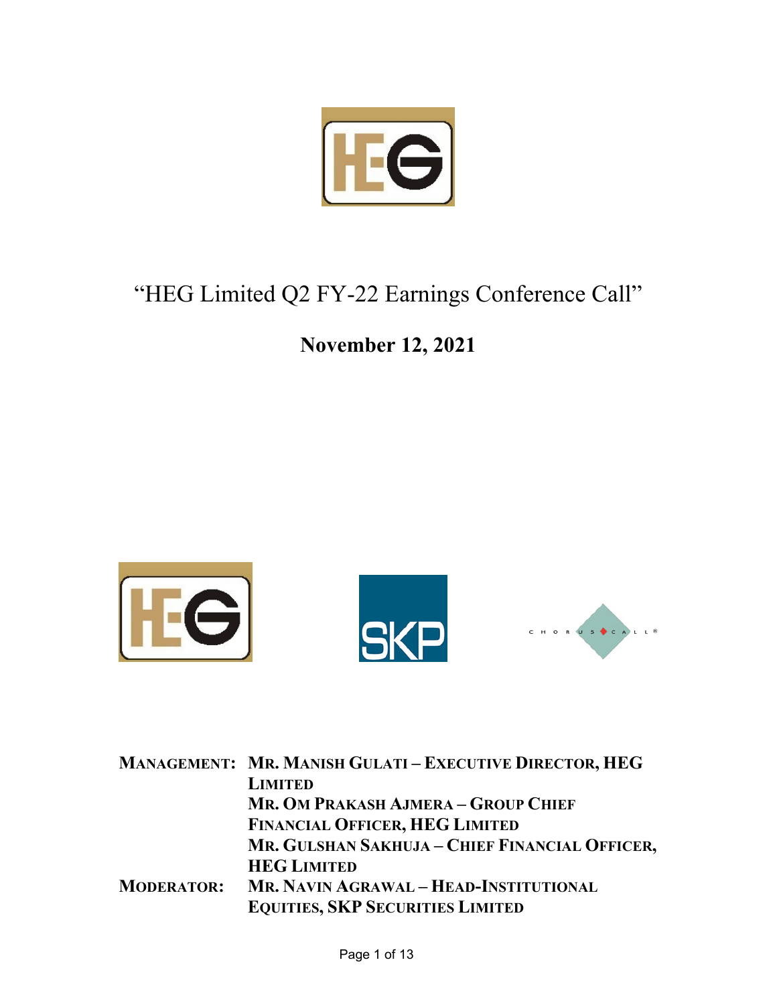

# "HEG Limited Q2 FY-22 Earnings Conference Call"

### **November 12, 2021**



|                   | <b>MANAGEMENT: MR. MANISH GULATI - EXECUTIVE DIRECTOR, HEG</b> |
|-------------------|----------------------------------------------------------------|
|                   | <b>LIMITED</b>                                                 |
|                   | MR. OM PRAKASH AJMERA - GROUP CHIEF                            |
|                   | <b>FINANCIAL OFFICER, HEG LIMITED</b>                          |
|                   | MR. GULSHAN SAKHUJA - CHIEF FINANCIAL OFFICER,                 |
|                   | <b>HEG LIMITED</b>                                             |
| <b>MODERATOR:</b> | MR. NAVIN AGRAWAL - HEAD-INSTITUTIONAL                         |
|                   | <b>EQUITIES, SKP SECURITIES LIMITED</b>                        |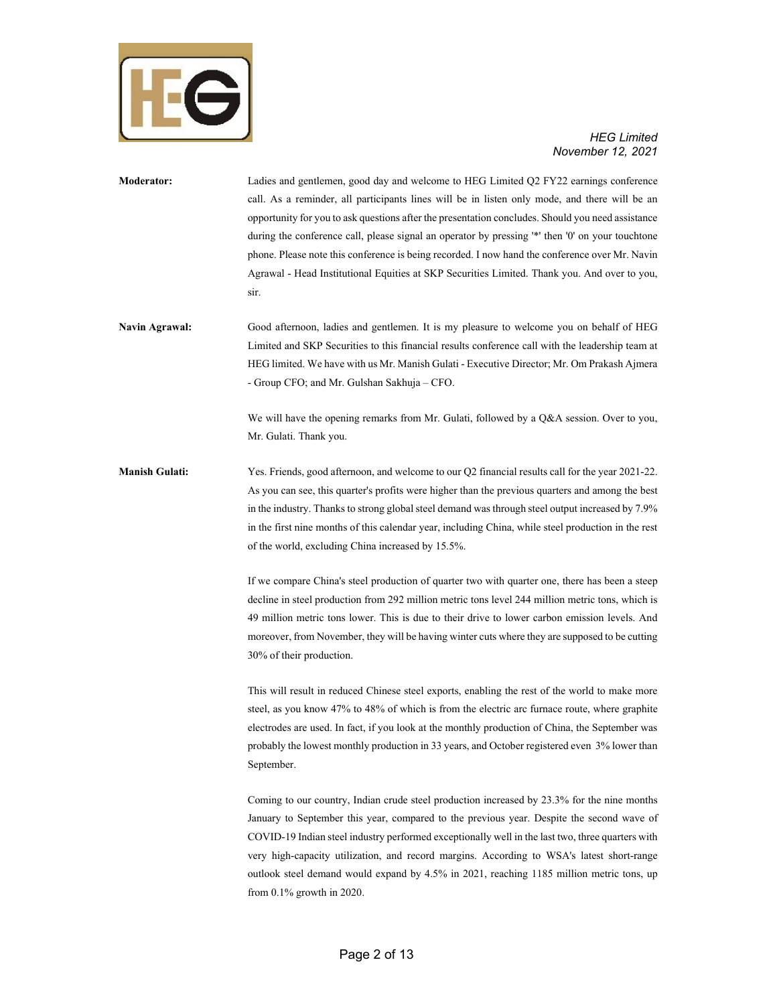

| Moderator:            | Ladies and gentlemen, good day and welcome to HEG Limited O2 FY22 earnings conference                      |
|-----------------------|------------------------------------------------------------------------------------------------------------|
|                       | call. As a reminder, all participants lines will be in listen only mode, and there will be an              |
|                       | opportunity for you to ask questions after the presentation concludes. Should you need assistance          |
|                       | during the conference call, please signal an operator by pressing <sup>**</sup> then '0' on your touchtone |
|                       | phone. Please note this conference is being recorded. I now hand the conference over Mr. Navin             |
|                       | Agrawal - Head Institutional Equities at SKP Securities Limited. Thank you. And over to you,               |
|                       | sir.                                                                                                       |
| <b>Navin Agrawal:</b> | Good afternoon, ladies and gentlemen. It is my pleasure to welcome you on behalf of HEG                    |
|                       | Limited and SKP Securities to this financial results conference call with the leadership team at           |
|                       | HEG limited. We have with us Mr. Manish Gulati - Executive Director; Mr. Om Prakash Ajmera                 |
|                       | - Group CFO; and Mr. Gulshan Sakhuja – CFO.                                                                |

We will have the opening remarks from Mr. Gulati, followed by a Q&A session. Over to you, Mr. Gulati. Thank you.

**Manish Gulati:** Yes. Friends, good afternoon, and welcome to our Q2 financial results call for the year 2021-22. As you can see, this quarter's profits were higher than the previous quarters and among the best in the industry. Thanks to strong global steel demand was through steel output increased by 7.9% in the first nine months of this calendar year, including China, while steel production in the rest of the world, excluding China increased by 15.5%.

> If we compare China's steel production of quarter two with quarter one, there has been a steep decline in steel production from 292 million metric tons level 244 million metric tons, which is 49 million metric tons lower. This is due to their drive to lower carbon emission levels. And moreover, from November, they will be having winter cuts where they are supposed to be cutting 30% of their production.

> This will result in reduced Chinese steel exports, enabling the rest of the world to make more steel, as you know 47% to 48% of which is from the electric arc furnace route, where graphite electrodes are used. In fact, if you look at the monthly production of China, the September was probably the lowest monthly production in 33 years, and October registered even 3% lower than September.

> Coming to our country, Indian crude steel production increased by 23.3% for the nine months January to September this year, compared to the previous year. Despite the second wave of COVID-19 Indian steel industry performed exceptionally well in the last two, three quarters with very high-capacity utilization, and record margins. According to WSA's latest short-range outlook steel demand would expand by 4.5% in 2021, reaching 1185 million metric tons, up from 0.1% growth in 2020.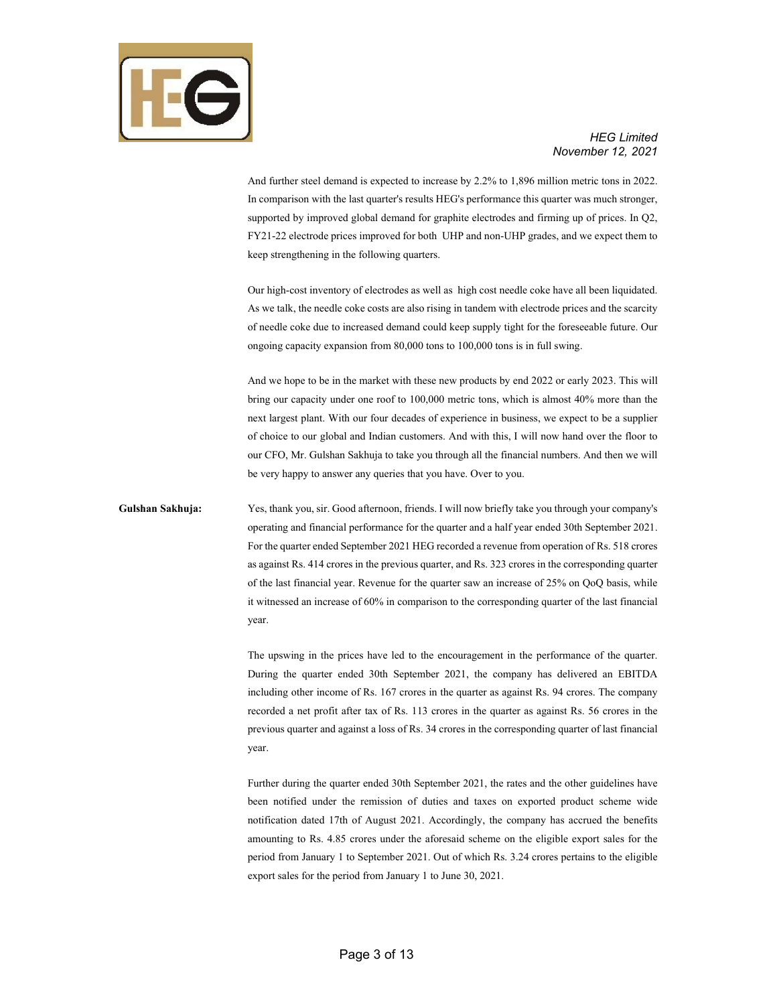

And further steel demand is expected to increase by 2.2% to 1,896 million metric tons in 2022. In comparison with the last quarter's results HEG's performance this quarter was much stronger, supported by improved global demand for graphite electrodes and firming up of prices. In Q2, FY21-22 electrode prices improved for both UHP and non-UHP grades, and we expect them to keep strengthening in the following quarters.

Our high-cost inventory of electrodes as well as high cost needle coke have all been liquidated. As we talk, the needle coke costs are also rising in tandem with electrode prices and the scarcity of needle coke due to increased demand could keep supply tight for the foreseeable future. Our ongoing capacity expansion from 80,000 tons to 100,000 tons is in full swing.

And we hope to be in the market with these new products by end 2022 or early 2023. This will bring our capacity under one roof to 100,000 metric tons, which is almost 40% more than the next largest plant. With our four decades of experience in business, we expect to be a supplier of choice to our global and Indian customers. And with this, I will now hand over the floor to our CFO, Mr. Gulshan Sakhuja to take you through all the financial numbers. And then we will be very happy to answer any queries that you have. Over to you.

**Gulshan Sakhuja:** Yes, thank you, sir. Good afternoon, friends. I will now briefly take you through your company's operating and financial performance for the quarter and a half year ended 30th September 2021. For the quarter ended September 2021 HEG recorded a revenue from operation of Rs. 518 crores as against Rs. 414 crores in the previous quarter, and Rs. 323 crores in the corresponding quarter of the last financial year. Revenue for the quarter saw an increase of 25% on QoQ basis, while it witnessed an increase of 60% in comparison to the corresponding quarter of the last financial year.

> The upswing in the prices have led to the encouragement in the performance of the quarter. During the quarter ended 30th September 2021, the company has delivered an EBITDA including other income of Rs. 167 crores in the quarter as against Rs. 94 crores. The company recorded a net profit after tax of Rs. 113 crores in the quarter as against Rs. 56 crores in the previous quarter and against a loss of Rs. 34 crores in the corresponding quarter of last financial year.

> Further during the quarter ended 30th September 2021, the rates and the other guidelines have been notified under the remission of duties and taxes on exported product scheme wide notification dated 17th of August 2021. Accordingly, the company has accrued the benefits amounting to Rs. 4.85 crores under the aforesaid scheme on the eligible export sales for the period from January 1 to September 2021. Out of which Rs. 3.24 crores pertains to the eligible export sales for the period from January 1 to June 30, 2021.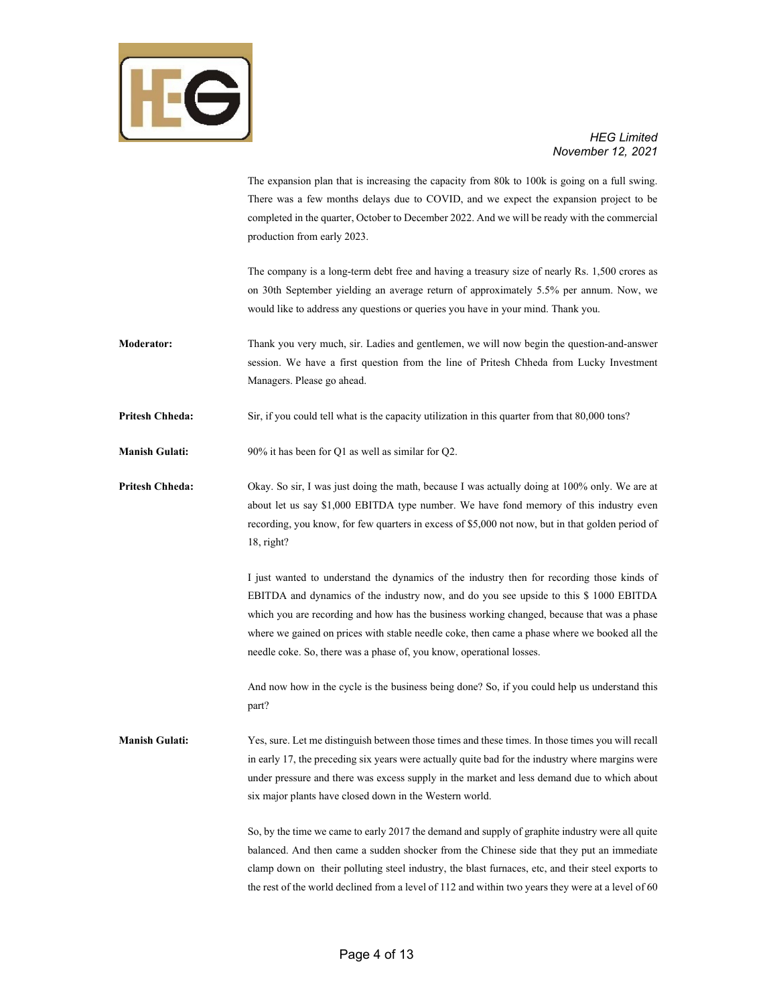

The expansion plan that is increasing the capacity from 80k to 100k is going on a full swing. There was a few months delays due to COVID, and we expect the expansion project to be completed in the quarter, October to December 2022. And we will be ready with the commercial production from early 2023.

The company is a long-term debt free and having a treasury size of nearly Rs. 1,500 crores as on 30th September yielding an average return of approximately 5.5% per annum. Now, we would like to address any questions or queries you have in your mind. Thank you.

**Moderator:** Thank you very much, sir. Ladies and gentlemen, we will now begin the question-and-answer session. We have a first question from the line of Pritesh Chheda from Lucky Investment Managers. Please go ahead.

**Pritesh Chheda:** Sir, if you could tell what is the capacity utilization in this quarter from that 80,000 tons?

**Manish Gulati:** 90% it has been for Q1 as well as similar for Q2.

**Pritesh Chheda:** Okay. So sir, I was just doing the math, because I was actually doing at 100% only. We are at about let us say \$1,000 EBITDA type number. We have fond memory of this industry even recording, you know, for few quarters in excess of \$5,000 not now, but in that golden period of 18, right?

> I just wanted to understand the dynamics of the industry then for recording those kinds of EBITDA and dynamics of the industry now, and do you see upside to this \$ 1000 EBITDA which you are recording and how has the business working changed, because that was a phase where we gained on prices with stable needle coke, then came a phase where we booked all the needle coke. So, there was a phase of, you know, operational losses.

> And now how in the cycle is the business being done? So, if you could help us understand this part?

**Manish Gulati:** Yes, sure. Let me distinguish between those times and these times. In those times you will recall in early 17, the preceding six years were actually quite bad for the industry where margins were under pressure and there was excess supply in the market and less demand due to which about six major plants have closed down in the Western world.

> So, by the time we came to early 2017 the demand and supply of graphite industry were all quite balanced. And then came a sudden shocker from the Chinese side that they put an immediate clamp down on their polluting steel industry, the blast furnaces, etc, and their steel exports to the rest of the world declined from a level of 112 and within two years they were at a level of 60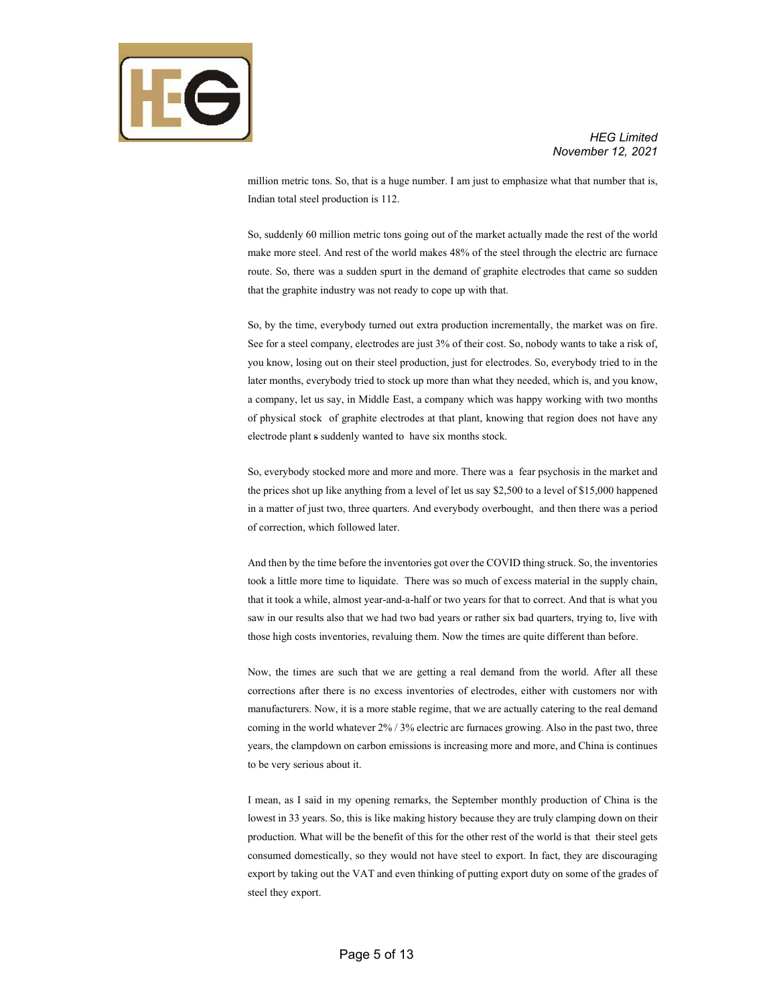

million metric tons. So, that is a huge number. I am just to emphasize what that number that is, Indian total steel production is 112.

So, suddenly 60 million metric tons going out of the market actually made the rest of the world make more steel. And rest of the world makes 48% of the steel through the electric arc furnace route. So, there was a sudden spurt in the demand of graphite electrodes that came so sudden that the graphite industry was not ready to cope up with that.

So, by the time, everybody turned out extra production incrementally, the market was on fire. See for a steel company, electrodes are just 3% of their cost. So, nobody wants to take a risk of, you know, losing out on their steel production, just for electrodes. So, everybody tried to in the later months, everybody tried to stock up more than what they needed, which is, and you know, a company, let us say, in Middle East, a company which was happy working with two months of physical stock of graphite electrodes at that plant, knowing that region does not have any electrode plant s suddenly wanted to have six months stock.

So, everybody stocked more and more and more. There was a fear psychosis in the market and the prices shot up like anything from a level of let us say \$2,500 to a level of \$15,000 happened in a matter of just two, three quarters. And everybody overbought, and then there was a period of correction, which followed later.

And then by the time before the inventories got over the COVID thing struck. So, the inventories took a little more time to liquidate. There was so much of excess material in the supply chain, that it took a while, almost year-and-a-half or two years for that to correct. And that is what you saw in our results also that we had two bad years or rather six bad quarters, trying to, live with those high costs inventories, revaluing them. Now the times are quite different than before.

Now, the times are such that we are getting a real demand from the world. After all these corrections after there is no excess inventories of electrodes, either with customers nor with manufacturers. Now, it is a more stable regime, that we are actually catering to the real demand coming in the world whatever 2% / 3% electric arc furnaces growing. Also in the past two, three years, the clampdown on carbon emissions is increasing more and more, and China is continues to be very serious about it.

I mean, as I said in my opening remarks, the September monthly production of China is the lowest in 33 years. So, this is like making history because they are truly clamping down on their production. What will be the benefit of this for the other rest of the world is that their steel gets consumed domestically, so they would not have steel to export. In fact, they are discouraging export by taking out the VAT and even thinking of putting export duty on some of the grades of steel they export.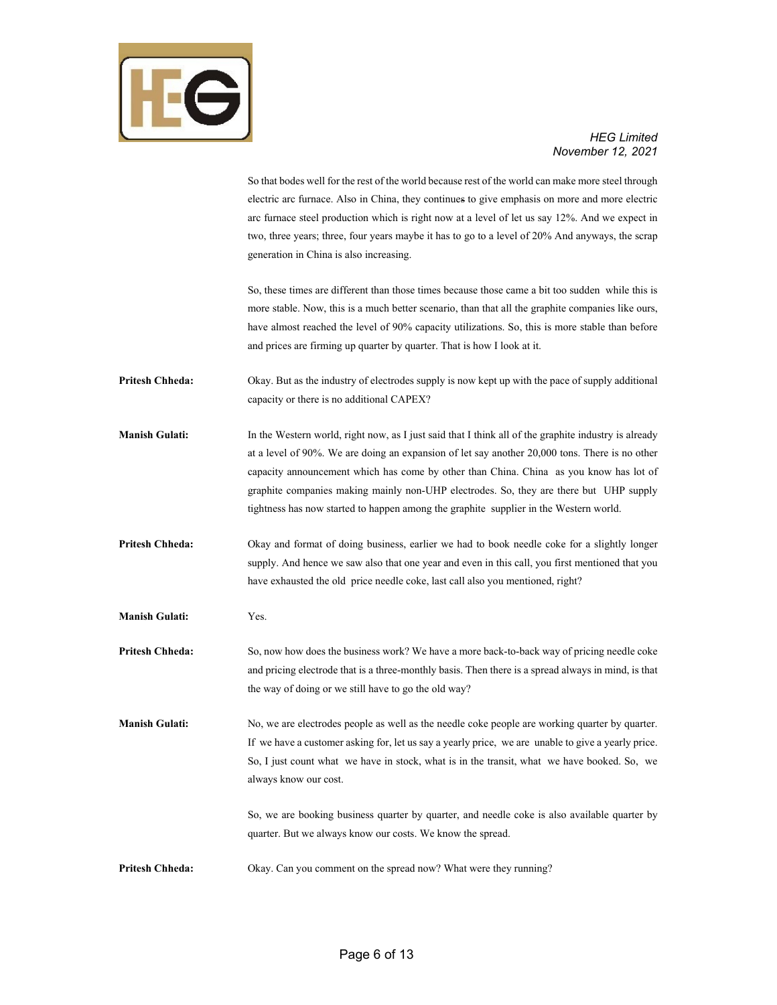

## *November 12, 2021*

|                        | So that bodes well for the rest of the world because rest of the world can make more steel through<br>electric arc furnace. Also in China, they continues to give emphasis on more and more electric<br>arc furnace steel production which is right now at a level of let us say 12%. And we expect in<br>two, three years; three, four years maybe it has to go to a level of 20% And anyways, the scrap<br>generation in China is also increasing.                                |
|------------------------|-------------------------------------------------------------------------------------------------------------------------------------------------------------------------------------------------------------------------------------------------------------------------------------------------------------------------------------------------------------------------------------------------------------------------------------------------------------------------------------|
|                        | So, these times are different than those times because those came a bit too sudden while this is<br>more stable. Now, this is a much better scenario, than that all the graphite companies like ours,<br>have almost reached the level of 90% capacity utilizations. So, this is more stable than before<br>and prices are firming up quarter by quarter. That is how I look at it.                                                                                                 |
| <b>Pritesh Chheda:</b> | Okay. But as the industry of electrodes supply is now kept up with the pace of supply additional<br>capacity or there is no additional CAPEX?                                                                                                                                                                                                                                                                                                                                       |
| <b>Manish Gulati:</b>  | In the Western world, right now, as I just said that I think all of the graphite industry is already<br>at a level of 90%. We are doing an expansion of let say another 20,000 tons. There is no other<br>capacity announcement which has come by other than China. China as you know has lot of<br>graphite companies making mainly non-UHP electrodes. So, they are there but UHP supply<br>tightness has now started to happen among the graphite supplier in the Western world. |
| <b>Pritesh Chheda:</b> | Okay and format of doing business, earlier we had to book needle coke for a slightly longer<br>supply. And hence we saw also that one year and even in this call, you first mentioned that you<br>have exhausted the old price needle coke, last call also you mentioned, right?                                                                                                                                                                                                    |
| <b>Manish Gulati:</b>  | Yes.                                                                                                                                                                                                                                                                                                                                                                                                                                                                                |
| <b>Pritesh Chheda:</b> | So, now how does the business work? We have a more back-to-back way of pricing needle coke<br>and pricing electrode that is a three-monthly basis. Then there is a spread always in mind, is that<br>the way of doing or we still have to go the old way?                                                                                                                                                                                                                           |
| <b>Manish Gulati:</b>  | No, we are electrodes people as well as the needle coke people are working quarter by quarter.<br>If we have a customer asking for, let us say a yearly price, we are unable to give a yearly price.<br>So, I just count what we have in stock, what is in the transit, what we have booked. So, we<br>always know our cost.                                                                                                                                                        |
|                        | So, we are booking business quarter by quarter, and needle coke is also available quarter by<br>quarter. But we always know our costs. We know the spread.                                                                                                                                                                                                                                                                                                                          |
| <b>Pritesh Chheda:</b> | Okay. Can you comment on the spread now? What were they running?                                                                                                                                                                                                                                                                                                                                                                                                                    |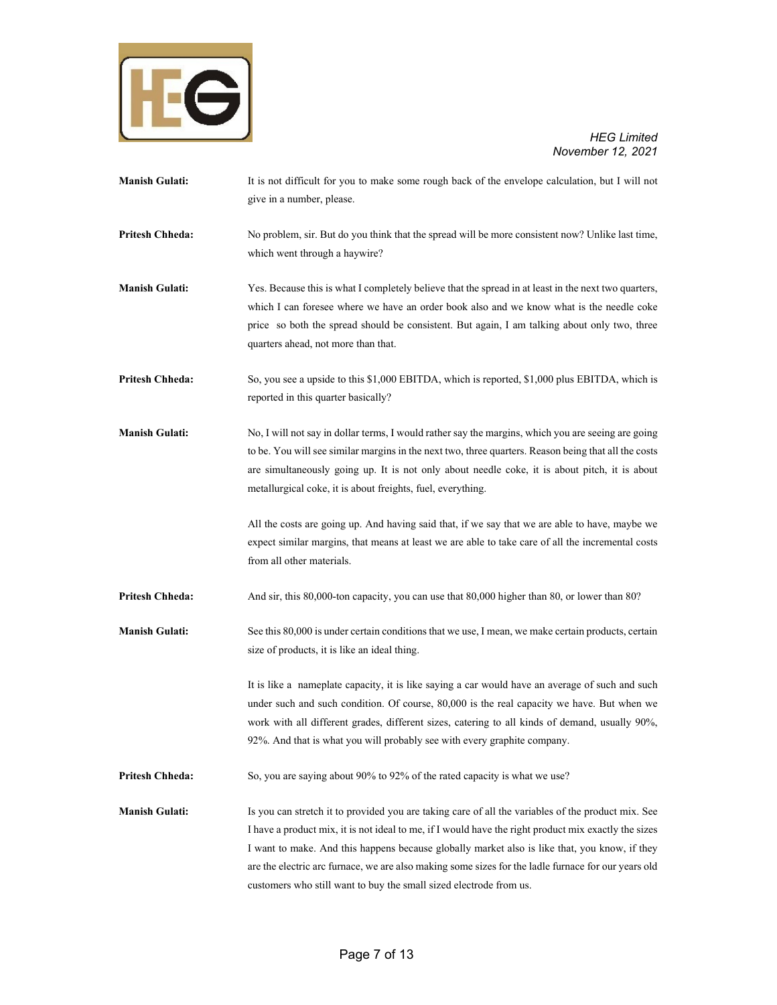

- **Manish Gulati:** It is not difficult for you to make some rough back of the envelope calculation, but I will not give in a number, please.
- **Pritesh Chheda:** No problem, sir. But do you think that the spread will be more consistent now? Unlike last time, which went through a haywire?
- **Manish Gulati:** *Yes. Because this is what I completely believe that the spread in at least in the next two quarters,* which I can foresee where we have an order book also and we know what is the needle coke price so both the spread should be consistent. But again, I am talking about only two, three quarters ahead, not more than that.
- **Pritesh Chheda:** So, you see a upside to this \$1,000 EBITDA, which is reported, \$1,000 plus EBITDA, which is reported in this quarter basically?
- **Manish Gulati:** No, I will not say in dollar terms, I would rather say the margins, which you are seeing are going to be. You will see similar margins in the next two, three quarters. Reason being that all the costs are simultaneously going up. It is not only about needle coke, it is about pitch, it is about metallurgical coke, it is about freights, fuel, everything.
	- All the costs are going up. And having said that, if we say that we are able to have, maybe we expect similar margins, that means at least we are able to take care of all the incremental costs from all other materials.
- **Pritesh Chheda:** And sir, this 80,000-ton capacity, you can use that 80,000 higher than 80, or lower than 80?
- **Manish Gulati:** See this 80,000 is under certain conditions that we use, I mean, we make certain products, certain size of products, it is like an ideal thing.
	- It is like a nameplate capacity, it is like saying a car would have an average of such and such under such and such condition. Of course, 80,000 is the real capacity we have. But when we work with all different grades, different sizes, catering to all kinds of demand, usually 90%, 92%. And that is what you will probably see with every graphite company.
- **Pritesh Chheda:** So, you are saying about 90% to 92% of the rated capacity is what we use?
- **Manish Gulati:** Is you can stretch it to provided you are taking care of all the variables of the product mix. See I have a product mix, it is not ideal to me, if I would have the right product mix exactly the sizes I want to make. And this happens because globally market also is like that, you know, if they are the electric arc furnace, we are also making some sizes for the ladle furnace for our years old customers who still want to buy the small sized electrode from us.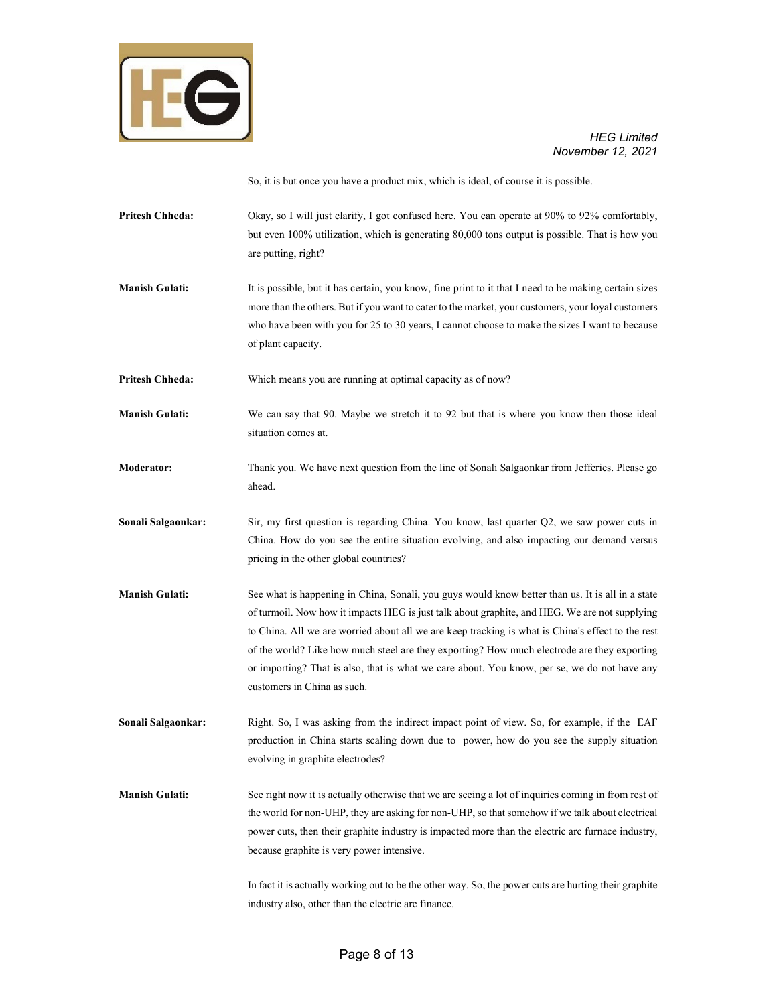

So, it is but once you have a product mix, which is ideal, of course it is possible.

- **Pritesh Chheda:** Okay, so I will just clarify, I got confused here. You can operate at 90% to 92% comfortably, but even 100% utilization, which is generating 80,000 tons output is possible. That is how you are putting, right?
- **Manish Gulati:** It is possible, but it has certain, you know, fine print to it that I need to be making certain sizes more than the others. But if you want to cater to the market, your customers, your loyal customers who have been with you for 25 to 30 years, I cannot choose to make the sizes I want to because of plant capacity.
- **Pritesh Chheda:** Which means you are running at optimal capacity as of now?
- **Manish Gulati:** We can say that 90. Maybe we stretch it to 92 but that is where you know then those ideal situation comes at.
- **Moderator:** Thank you. We have next question from the line of Sonali Salgaonkar from Jefferies. Please go ahead.
- **Sonali Salgaonkar:** Sir, my first question is regarding China. You know, last quarter Q2, we saw power cuts in China. How do you see the entire situation evolving, and also impacting our demand versus pricing in the other global countries?
- **Manish Gulati:** See what is happening in China, Sonali, you guys would know better than us. It is all in a state of turmoil. Now how it impacts HEG is just talk about graphite, and HEG. We are not supplying to China. All we are worried about all we are keep tracking is what is China's effect to the rest of the world? Like how much steel are they exporting? How much electrode are they exporting or importing? That is also, that is what we care about. You know, per se, we do not have any customers in China as such.
- **Sonali Salgaonkar:** Right. So, I was asking from the indirect impact point of view. So, for example, if the EAF production in China starts scaling down due to power, how do you see the supply situation evolving in graphite electrodes?
- **Manish Gulati:** See right now it is actually otherwise that we are seeing a lot of inquiries coming in from rest of the world for non-UHP, they are asking for non-UHP, so that somehow if we talk about electrical power cuts, then their graphite industry is impacted more than the electric arc furnace industry, because graphite is very power intensive.

In fact it is actually working out to be the other way. So, the power cuts are hurting their graphite industry also, other than the electric arc finance.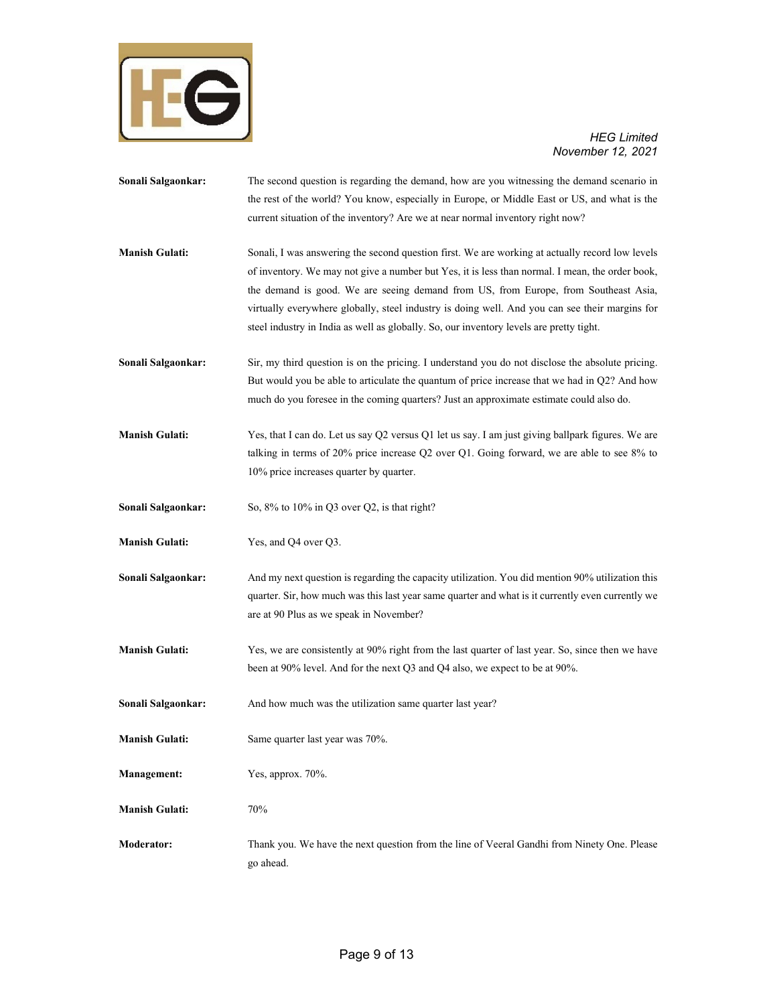

**Sonali Salgaonkar:** The second question is regarding the demand, how are you witnessing the demand scenario in the rest of the world? You know, especially in Europe, or Middle East or US, and what is the current situation of the inventory? Are we at near normal inventory right now? **Manish Gulati:** Sonali, I was answering the second question first. We are working at actually record low levels of inventory. We may not give a number but Yes, it is less than normal. I mean, the order book, the demand is good. We are seeing demand from US, from Europe, from Southeast Asia, virtually everywhere globally, steel industry is doing well. And you can see their margins for steel industry in India as well as globally. So, our inventory levels are pretty tight. **Sonali Salgaonkar:** Sir, my third question is on the pricing. I understand you do not disclose the absolute pricing. But would you be able to articulate the quantum of price increase that we had in Q2? And how much do you foresee in the coming quarters? Just an approximate estimate could also do. **Manish Gulati:** Yes, that I can do. Let us say Q2 versus Q1 let us say. I am just giving ballpark figures. We are talking in terms of 20% price increase Q2 over Q1. Going forward, we are able to see 8% to 10% price increases quarter by quarter. **Sonali Salgaonkar:** So, 8% to 10% in Q3 over Q2, is that right? **Manish Gulati:** Yes, and Q4 over Q3. **Sonali Salgaonkar:** And my next question is regarding the capacity utilization. You did mention 90% utilization this quarter. Sir, how much was this last year same quarter and what is it currently even currently we are at 90 Plus as we speak in November? **Manish Gulati:** Yes, we are consistently at 90% right from the last quarter of last year. So, since then we have been at 90% level. And for the next Q3 and Q4 also, we expect to be at 90%. Sonali Salgaonkar: And how much was the utilization same quarter last year? **Manish Gulati:** Same quarter last year was 70%. **Management:** Yes, approx. 70%. **Manish Gulati:** 70% **Moderator:** Thank you. We have the next question from the line of Veeral Gandhi from Ninety One. Please go ahead.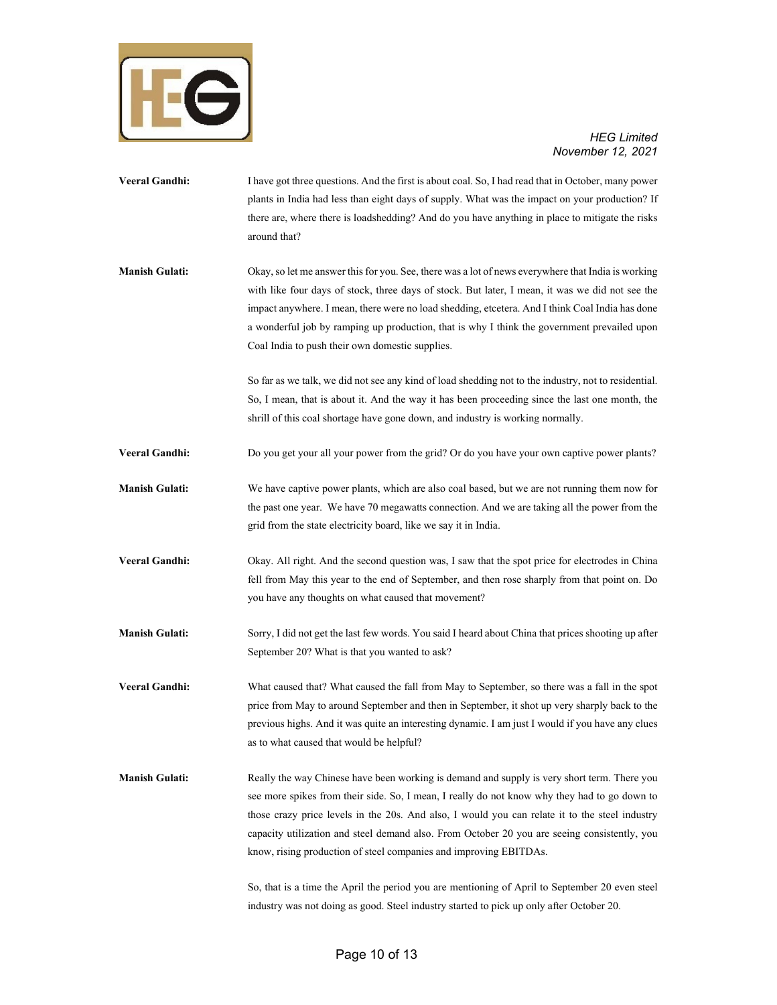

**Veeral Gandhi:** I have got three questions. And the first is about coal. So, I had read that in October, many power plants in India had less than eight days of supply. What was the impact on your production? If there are, where there is loadshedding? And do you have anything in place to mitigate the risks around that? **Manish Gulati:** Okay, so let me answer this for you. See, there was a lot of news everywhere that India is working with like four days of stock, three days of stock. But later, I mean, it was we did not see the impact anywhere. I mean, there were no load shedding, etcetera. And I think Coal India has done a wonderful job by ramping up production, that is why I think the government prevailed upon Coal India to push their own domestic supplies. So far as we talk, we did not see any kind of load shedding not to the industry, not to residential. So, I mean, that is about it. And the way it has been proceeding since the last one month, the shrill of this coal shortage have gone down, and industry is working normally. **Veeral Gandhi:** Do you get your all your power from the grid? Or do you have your own captive power plants? **Manish Gulati:** We have captive power plants, which are also coal based, but we are not running them now for the past one year. We have 70 megawatts connection. And we are taking all the power from the grid from the state electricity board, like we say it in India. **Veeral Gandhi:** Okay. All right. And the second question was, I saw that the spot price for electrodes in China fell from May this year to the end of September, and then rose sharply from that point on. Do you have any thoughts on what caused that movement? **Manish Gulati:** Sorry, I did not get the last few words. You said I heard about China that prices shooting up after September 20? What is that you wanted to ask? **Veeral Gandhi:** What caused that? What caused the fall from May to September, so there was a fall in the spot price from May to around September and then in September, it shot up very sharply back to the previous highs. And it was quite an interesting dynamic. I am just I would if you have any clues as to what caused that would be helpful? **Manish Gulati:** Really the way Chinese have been working is demand and supply is very short term. There you see more spikes from their side. So, I mean, I really do not know why they had to go down to those crazy price levels in the 20s. And also, I would you can relate it to the steel industry capacity utilization and steel demand also. From October 20 you are seeing consistently, you know, rising production of steel companies and improving EBITDAs. So, that is a time the April the period you are mentioning of April to September 20 even steel

industry was not doing as good. Steel industry started to pick up only after October 20.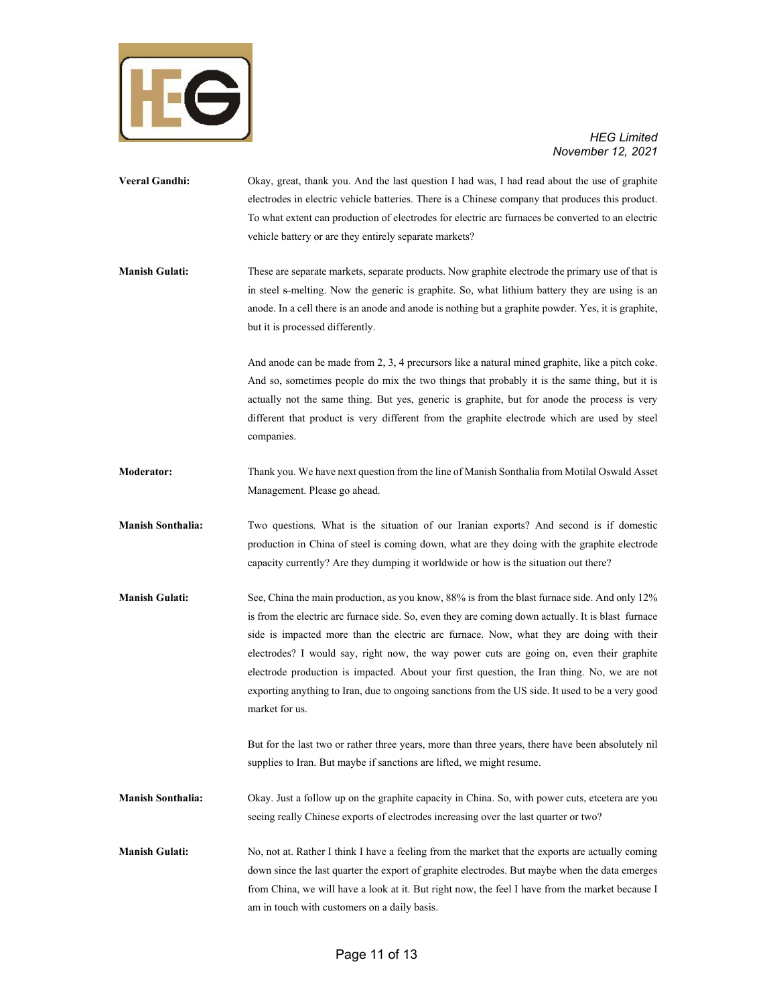

- **Veeral Gandhi:** Okay, great, thank you. And the last question I had was, I had read about the use of graphite electrodes in electric vehicle batteries. There is a Chinese company that produces this product. To what extent can production of electrodes for electric arc furnaces be converted to an electric vehicle battery or are they entirely separate markets?
- **Manish Gulati:** These are separate markets, separate products. Now graphite electrode the primary use of that is in steel s-melting. Now the generic is graphite. So, what lithium battery they are using is an anode. In a cell there is an anode and anode is nothing but a graphite powder. Yes, it is graphite, but it is processed differently.

And anode can be made from 2, 3, 4 precursors like a natural mined graphite, like a pitch coke. And so, sometimes people do mix the two things that probably it is the same thing, but it is actually not the same thing. But yes, generic is graphite, but for anode the process is very different that product is very different from the graphite electrode which are used by steel companies.

- **Moderator:** Thank you. We have next question from the line of Manish Sonthalia from Motilal Oswald Asset Management. Please go ahead.
- **Manish Sonthalia:** Two questions. What is the situation of our Iranian exports? And second is if domestic production in China of steel is coming down, what are they doing with the graphite electrode capacity currently? Are they dumping it worldwide or how is the situation out there?
- **Manish Gulati:** See, China the main production, as you know, 88% is from the blast furnace side. And only 12% is from the electric arc furnace side. So, even they are coming down actually. It is blast furnace side is impacted more than the electric arc furnace. Now, what they are doing with their electrodes? I would say, right now, the way power cuts are going on, even their graphite electrode production is impacted. About your first question, the Iran thing. No, we are not exporting anything to Iran, due to ongoing sanctions from the US side. It used to be a very good market for us.

But for the last two or rather three years, more than three years, there have been absolutely nil supplies to Iran. But maybe if sanctions are lifted, we might resume.

- **Manish Sonthalia:** Okay. Just a follow up on the graphite capacity in China. So, with power cuts, etcetera are you seeing really Chinese exports of electrodes increasing over the last quarter or two?
- **Manish Gulati:** No, not at. Rather I think I have a feeling from the market that the exports are actually coming down since the last quarter the export of graphite electrodes. But maybe when the data emerges from China, we will have a look at it. But right now, the feel I have from the market because I am in touch with customers on a daily basis.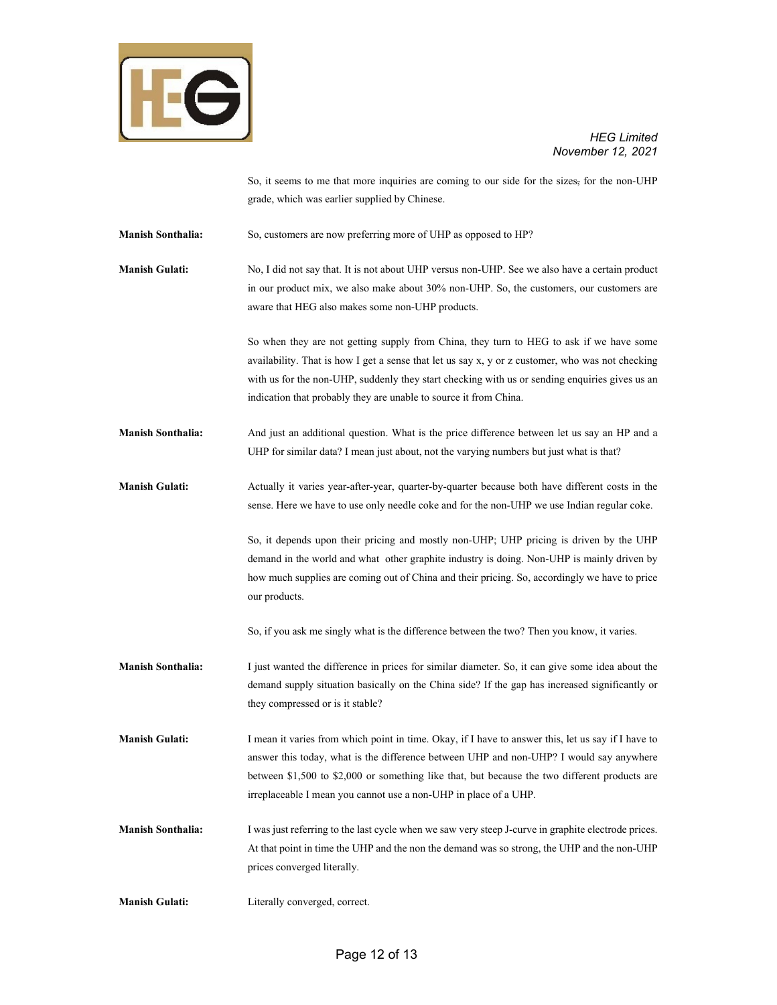

So, it seems to me that more inquiries are coming to our side for the sizes, for the non-UHP grade, which was earlier supplied by Chinese.

**Manish Sonthalia:** So, customers are now preferring more of UHP as opposed to HP?

**Manish Gulati:** No, I did not say that. It is not about UHP versus non-UHP. See we also have a certain product in our product mix, we also make about 30% non-UHP. So, the customers, our customers are aware that HEG also makes some non-UHP products.

> So when they are not getting supply from China, they turn to HEG to ask if we have some availability. That is how I get a sense that let us say x, y or z customer, who was not checking with us for the non-UHP, suddenly they start checking with us or sending enquiries gives us an indication that probably they are unable to source it from China.

**Manish Sonthalia:** And just an additional question. What is the price difference between let us say an HP and a UHP for similar data? I mean just about, not the varying numbers but just what is that?

**Manish Gulati:** Actually it varies year-after-year, quarter-by-quarter because both have different costs in the sense. Here we have to use only needle coke and for the non-UHP we use Indian regular coke.

> So, it depends upon their pricing and mostly non-UHP; UHP pricing is driven by the UHP demand in the world and what other graphite industry is doing. Non-UHP is mainly driven by how much supplies are coming out of China and their pricing. So, accordingly we have to price our products.

So, if you ask me singly what is the difference between the two? Then you know, it varies.

**Manish Sonthalia:** I just wanted the difference in prices for similar diameter. So, it can give some idea about the demand supply situation basically on the China side? If the gap has increased significantly or they compressed or is it stable?

**Manish Gulati:** I mean it varies from which point in time. Okay, if I have to answer this, let us say if I have to answer this today, what is the difference between UHP and non-UHP? I would say anywhere between \$1,500 to \$2,000 or something like that, but because the two different products are irreplaceable I mean you cannot use a non-UHP in place of a UHP.

**Manish Sonthalia:** I was just referring to the last cycle when we saw very steep J-curve in graphite electrode prices. At that point in time the UHP and the non the demand was so strong, the UHP and the non-UHP prices converged literally.

**Manish Gulati:** Literally converged, correct.